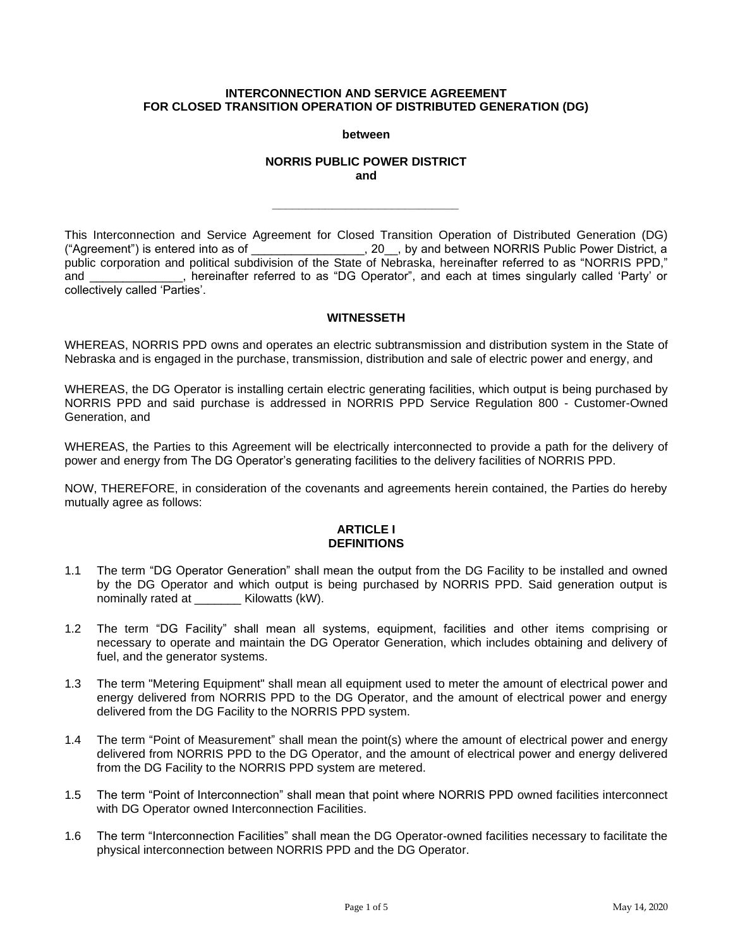# **INTERCONNECTION AND SERVICE AGREEMENT FOR CLOSED TRANSITION OPERATION OF DISTRIBUTED GENERATION (DG)**

**between**

# **NORRIS PUBLIC POWER DISTRICT and**

*\_\_\_\_\_\_\_\_\_\_\_\_\_\_\_\_\_\_\_\_\_\_\_\_\_\_\_\_*

This Interconnection and Service Agreement for Closed Transition Operation of Distributed Generation (DG)  $\_\_\_\,,$  20 $\_\_\,,$  by and between NORRIS Public Power District, a public corporation and political subdivision of the State of Nebraska, hereinafter referred to as "NORRIS PPD," and \_\_\_\_\_\_\_\_\_\_\_\_\_\_, hereinafter referred to as "DG Operator", and each at times singularly called 'Party' or collectively called 'Parties'.

# **WITNESSETH**

WHEREAS, NORRIS PPD owns and operates an electric subtransmission and distribution system in the State of Nebraska and is engaged in the purchase, transmission, distribution and sale of electric power and energy, and

WHEREAS, the DG Operator is installing certain electric generating facilities, which output is being purchased by NORRIS PPD and said purchase is addressed in NORRIS PPD Service Regulation 800 - Customer-Owned Generation, and

WHEREAS, the Parties to this Agreement will be electrically interconnected to provide a path for the delivery of power and energy from The DG Operator's generating facilities to the delivery facilities of NORRIS PPD.

NOW, THEREFORE, in consideration of the covenants and agreements herein contained, the Parties do hereby mutually agree as follows:

# **ARTICLE I DEFINITIONS**

- 1.1 The term "DG Operator Generation" shall mean the output from the DG Facility to be installed and owned by the DG Operator and which output is being purchased by NORRIS PPD. Said generation output is nominally rated at **Kilowatts (kW).**
- 1.2 The term "DG Facility" shall mean all systems, equipment, facilities and other items comprising or necessary to operate and maintain the DG Operator Generation, which includes obtaining and delivery of fuel, and the generator systems.
- 1.3 The term "Metering Equipment" shall mean all equipment used to meter the amount of electrical power and energy delivered from NORRIS PPD to the DG Operator, and the amount of electrical power and energy delivered from the DG Facility to the NORRIS PPD system.
- 1.4 The term "Point of Measurement" shall mean the point(s) where the amount of electrical power and energy delivered from NORRIS PPD to the DG Operator, and the amount of electrical power and energy delivered from the DG Facility to the NORRIS PPD system are metered.
- 1.5 The term "Point of Interconnection" shall mean that point where NORRIS PPD owned facilities interconnect with DG Operator owned Interconnection Facilities.
- 1.6 The term "Interconnection Facilities" shall mean the DG Operator-owned facilities necessary to facilitate the physical interconnection between NORRIS PPD and the DG Operator.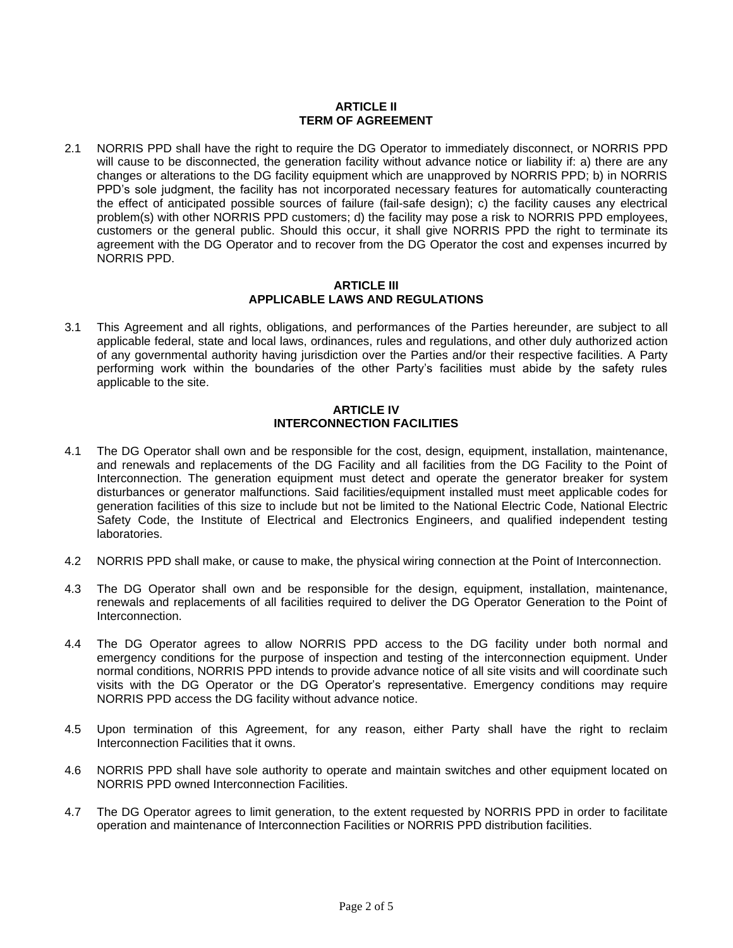# **ARTICLE II TERM OF AGREEMENT**

2.1 NORRIS PPD shall have the right to require the DG Operator to immediately disconnect, or NORRIS PPD will cause to be disconnected, the generation facility without advance notice or liability if: a) there are any changes or alterations to the DG facility equipment which are unapproved by NORRIS PPD; b) in NORRIS PPD's sole judgment, the facility has not incorporated necessary features for automatically counteracting the effect of anticipated possible sources of failure (fail-safe design); c) the facility causes any electrical problem(s) with other NORRIS PPD customers; d) the facility may pose a risk to NORRIS PPD employees, customers or the general public. Should this occur, it shall give NORRIS PPD the right to terminate its agreement with the DG Operator and to recover from the DG Operator the cost and expenses incurred by NORRIS PPD.

### **ARTICLE III APPLICABLE LAWS AND REGULATIONS**

3.1 This Agreement and all rights, obligations, and performances of the Parties hereunder, are subject to all applicable federal, state and local laws, ordinances, rules and regulations, and other duly authorized action of any governmental authority having jurisdiction over the Parties and/or their respective facilities. A Party performing work within the boundaries of the other Party's facilities must abide by the safety rules applicable to the site.

# **ARTICLE IV INTERCONNECTION FACILITIES**

- 4.1 The DG Operator shall own and be responsible for the cost, design, equipment, installation, maintenance, and renewals and replacements of the DG Facility and all facilities from the DG Facility to the Point of Interconnection. The generation equipment must detect and operate the generator breaker for system disturbances or generator malfunctions. Said facilities/equipment installed must meet applicable codes for generation facilities of this size to include but not be limited to the National Electric Code, National Electric Safety Code, the Institute of Electrical and Electronics Engineers, and qualified independent testing laboratories.
- 4.2 NORRIS PPD shall make, or cause to make, the physical wiring connection at the Point of Interconnection.
- 4.3 The DG Operator shall own and be responsible for the design, equipment, installation, maintenance, renewals and replacements of all facilities required to deliver the DG Operator Generation to the Point of Interconnection.
- 4.4 The DG Operator agrees to allow NORRIS PPD access to the DG facility under both normal and emergency conditions for the purpose of inspection and testing of the interconnection equipment. Under normal conditions, NORRIS PPD intends to provide advance notice of all site visits and will coordinate such visits with the DG Operator or the DG Operator's representative. Emergency conditions may require NORRIS PPD access the DG facility without advance notice.
- 4.5 Upon termination of this Agreement, for any reason, either Party shall have the right to reclaim Interconnection Facilities that it owns.
- 4.6 NORRIS PPD shall have sole authority to operate and maintain switches and other equipment located on NORRIS PPD owned Interconnection Facilities.
- 4.7 The DG Operator agrees to limit generation, to the extent requested by NORRIS PPD in order to facilitate operation and maintenance of Interconnection Facilities or NORRIS PPD distribution facilities.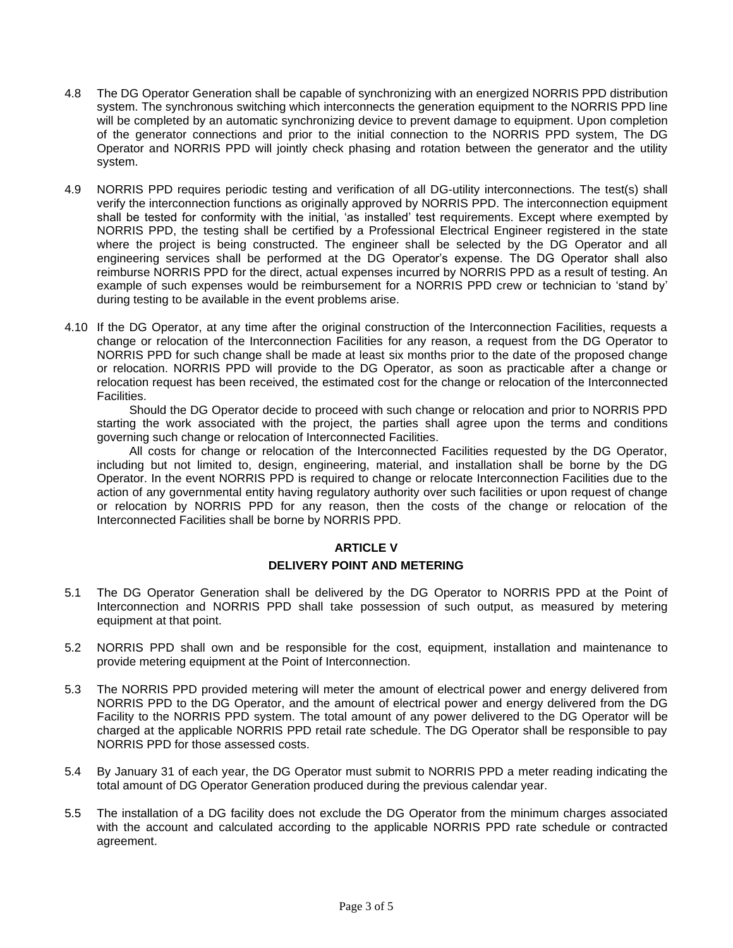- 4.8 The DG Operator Generation shall be capable of synchronizing with an energized NORRIS PPD distribution system. The synchronous switching which interconnects the generation equipment to the NORRIS PPD line will be completed by an automatic synchronizing device to prevent damage to equipment. Upon completion of the generator connections and prior to the initial connection to the NORRIS PPD system, The DG Operator and NORRIS PPD will jointly check phasing and rotation between the generator and the utility system.
- 4.9 NORRIS PPD requires periodic testing and verification of all DG-utility interconnections. The test(s) shall verify the interconnection functions as originally approved by NORRIS PPD. The interconnection equipment shall be tested for conformity with the initial, 'as installed' test requirements. Except where exempted by NORRIS PPD, the testing shall be certified by a Professional Electrical Engineer registered in the state where the project is being constructed. The engineer shall be selected by the DG Operator and all engineering services shall be performed at the DG Operator's expense. The DG Operator shall also reimburse NORRIS PPD for the direct, actual expenses incurred by NORRIS PPD as a result of testing. An example of such expenses would be reimbursement for a NORRIS PPD crew or technician to 'stand by' during testing to be available in the event problems arise.
- 4.10 If the DG Operator, at any time after the original construction of the Interconnection Facilities, requests a change or relocation of the Interconnection Facilities for any reason, a request from the DG Operator to NORRIS PPD for such change shall be made at least six months prior to the date of the proposed change or relocation. NORRIS PPD will provide to the DG Operator, as soon as practicable after a change or relocation request has been received, the estimated cost for the change or relocation of the Interconnected Facilities.

Should the DG Operator decide to proceed with such change or relocation and prior to NORRIS PPD starting the work associated with the project, the parties shall agree upon the terms and conditions governing such change or relocation of Interconnected Facilities.

All costs for change or relocation of the Interconnected Facilities requested by the DG Operator, including but not limited to, design, engineering, material, and installation shall be borne by the DG Operator. In the event NORRIS PPD is required to change or relocate Interconnection Facilities due to the action of any governmental entity having regulatory authority over such facilities or upon request of change or relocation by NORRIS PPD for any reason, then the costs of the change or relocation of the Interconnected Facilities shall be borne by NORRIS PPD.

# **ARTICLE V**

# **DELIVERY POINT AND METERING**

- 5.1 The DG Operator Generation shall be delivered by the DG Operator to NORRIS PPD at the Point of Interconnection and NORRIS PPD shall take possession of such output, as measured by metering equipment at that point.
- 5.2 NORRIS PPD shall own and be responsible for the cost, equipment, installation and maintenance to provide metering equipment at the Point of Interconnection.
- 5.3 The NORRIS PPD provided metering will meter the amount of electrical power and energy delivered from NORRIS PPD to the DG Operator, and the amount of electrical power and energy delivered from the DG Facility to the NORRIS PPD system. The total amount of any power delivered to the DG Operator will be charged at the applicable NORRIS PPD retail rate schedule. The DG Operator shall be responsible to pay NORRIS PPD for those assessed costs.
- 5.4 By January 31 of each year, the DG Operator must submit to NORRIS PPD a meter reading indicating the total amount of DG Operator Generation produced during the previous calendar year.
- 5.5 The installation of a DG facility does not exclude the DG Operator from the minimum charges associated with the account and calculated according to the applicable NORRIS PPD rate schedule or contracted agreement.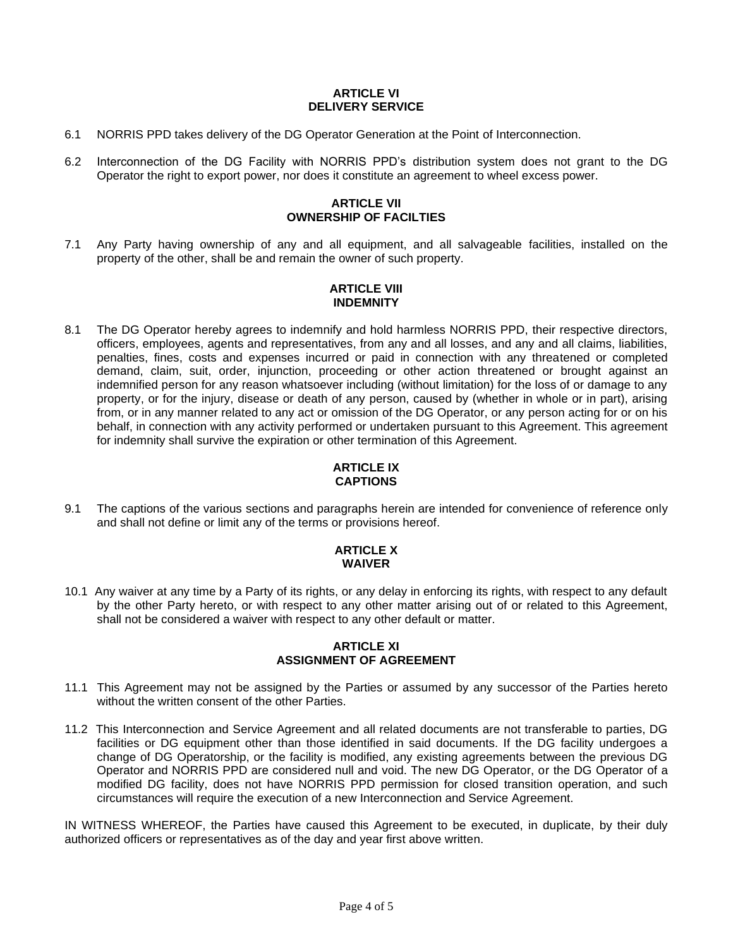#### **ARTICLE VI DELIVERY SERVICE**

- 6.1 NORRIS PPD takes delivery of the DG Operator Generation at the Point of Interconnection.
- 6.2 Interconnection of the DG Facility with NORRIS PPD's distribution system does not grant to the DG Operator the right to export power, nor does it constitute an agreement to wheel excess power.

# **ARTICLE VII OWNERSHIP OF FACILTIES**

7.1 Any Party having ownership of any and all equipment, and all salvageable facilities, installed on the property of the other, shall be and remain the owner of such property.

# **ARTICLE VIII INDEMNITY**

8.1 The DG Operator hereby agrees to indemnify and hold harmless NORRIS PPD, their respective directors, officers, employees, agents and representatives, from any and all losses, and any and all claims, liabilities, penalties, fines, costs and expenses incurred or paid in connection with any threatened or completed demand, claim, suit, order, injunction, proceeding or other action threatened or brought against an indemnified person for any reason whatsoever including (without limitation) for the loss of or damage to any property, or for the injury, disease or death of any person, caused by (whether in whole or in part), arising from, or in any manner related to any act or omission of the DG Operator, or any person acting for or on his behalf, in connection with any activity performed or undertaken pursuant to this Agreement. This agreement for indemnity shall survive the expiration or other termination of this Agreement.

# **ARTICLE IX CAPTIONS**

9.1 The captions of the various sections and paragraphs herein are intended for convenience of reference only and shall not define or limit any of the terms or provisions hereof.

# **ARTICLE X WAIVER**

10.1 Any waiver at any time by a Party of its rights, or any delay in enforcing its rights, with respect to any default by the other Party hereto, or with respect to any other matter arising out of or related to this Agreement, shall not be considered a waiver with respect to any other default or matter.

# **ARTICLE XI ASSIGNMENT OF AGREEMENT**

- 11.1 This Agreement may not be assigned by the Parties or assumed by any successor of the Parties hereto without the written consent of the other Parties.
- 11.2 This Interconnection and Service Agreement and all related documents are not transferable to parties, DG facilities or DG equipment other than those identified in said documents. If the DG facility undergoes a change of DG Operatorship, or the facility is modified, any existing agreements between the previous DG Operator and NORRIS PPD are considered null and void. The new DG Operator, or the DG Operator of a modified DG facility, does not have NORRIS PPD permission for closed transition operation, and such circumstances will require the execution of a new Interconnection and Service Agreement.

IN WITNESS WHEREOF, the Parties have caused this Agreement to be executed, in duplicate, by their duly authorized officers or representatives as of the day and year first above written.